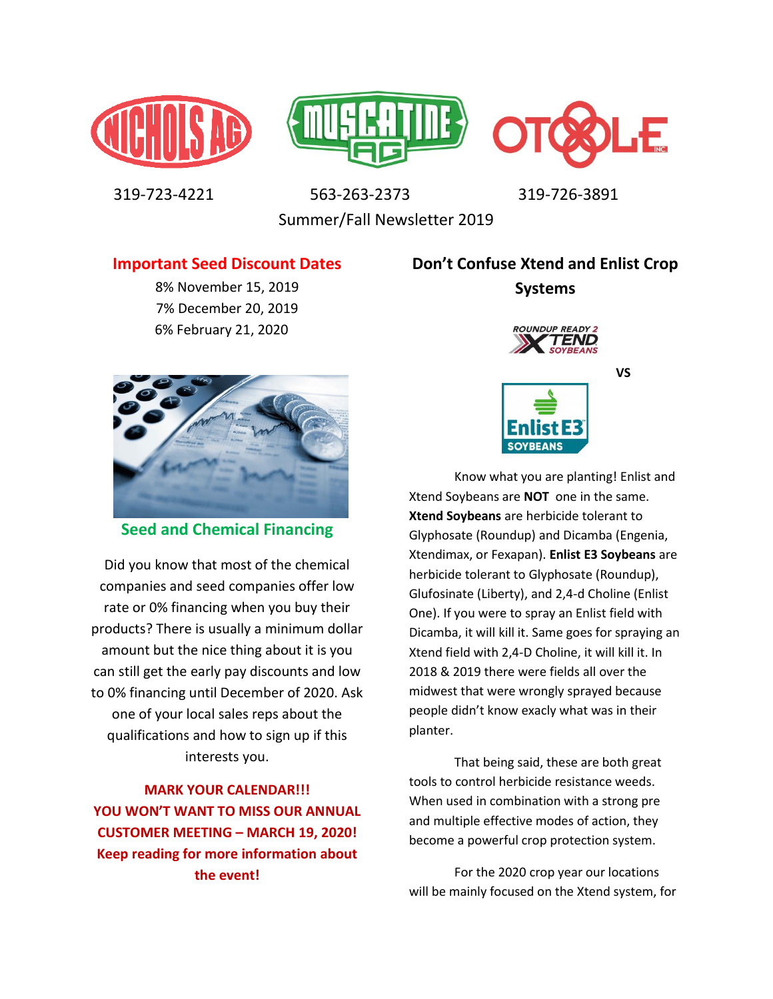





 319-723-4221 563-263-2373 319-726-3891 Summer/Fall Newsletter 2019

**Important Seed Discount Dates** 

8% November 15, 2019 7% December 20, 2019 6% February 21, 2020

# **Don't Confuse Xtend and Enlist Crop Systems**



**Seed and Chemical Financing** 

Did you know that most of the chemical companies and seed companies offer low rate or 0% financing when you buy their products? There is usually a minimum dollar amount but the nice thing about it is you can still get the early pay discounts and low to 0% financing until December of 2020. Ask one of your local sales reps about the qualifications and how to sign up if this interests you.

**MARK YOUR CALENDAR!!! YOU WON'T WANT TO MISS OUR ANNUAL CUSTOMER MEETING – MARCH 19, 2020! Keep reading for more information about the event!** 



Know what you are planting! Enlist and Xtend Soybeans are **NOT** one in the same. **Xtend Soybeans** are herbicide tolerant to Glyphosate (Roundup) and Dicamba (Engenia, Xtendimax, or Fexapan). **Enlist E3 Soybeans** are herbicide tolerant to Glyphosate (Roundup), Glufosinate (Liberty), and 2,4-d Choline (Enlist One). If you were to spray an Enlist field with Dicamba, it will kill it. Same goes for spraying an Xtend field with 2,4-D Choline, it will kill it. In 2018 & 2019 there were fields all over the midwest that were wrongly sprayed because people didn't know exacly what was in their planter.

That being said, these are both great tools to control herbicide resistance weeds. When used in combination with a strong pre and multiple effective modes of action, they become a powerful crop protection system.

For the 2020 crop year our locations will be mainly focused on the Xtend system, for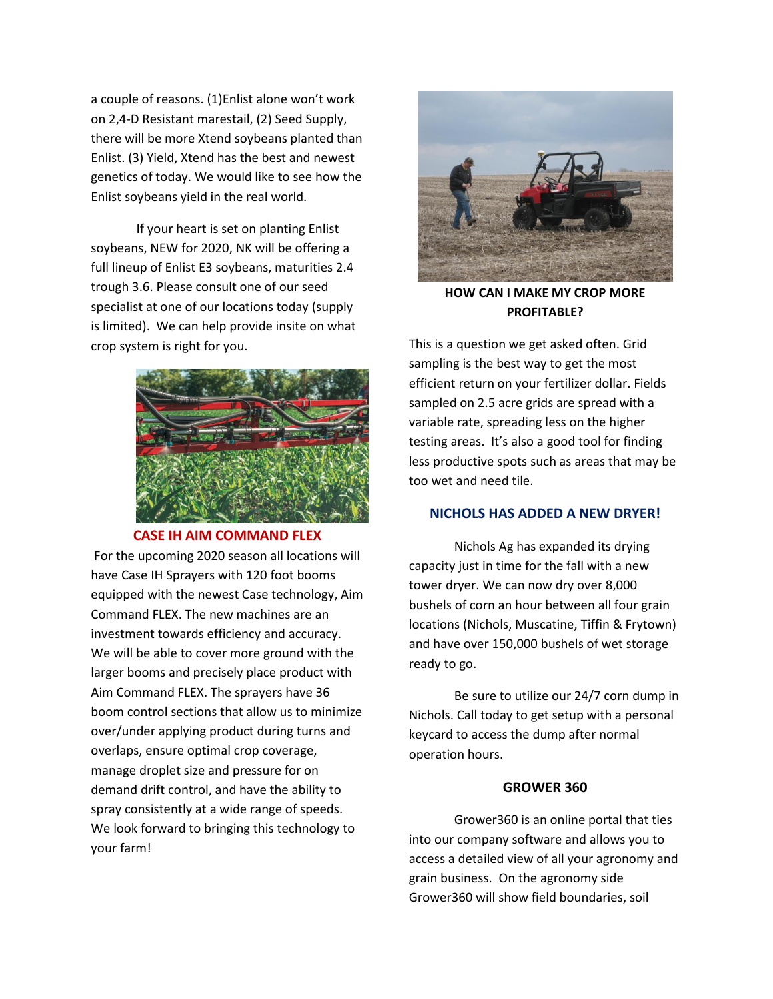a couple of reasons. (1)Enlist alone won't work on 2,4-D Resistant marestail, (2) Seed Supply, there will be more Xtend soybeans planted than Enlist. (3) Yield, Xtend has the best and newest genetics of today. We would like to see how the Enlist soybeans yield in the real world.

If your heart is set on planting Enlist soybeans, NEW for 2020, NK will be offering a full lineup of Enlist E3 soybeans, maturities 2.4 trough 3.6. Please consult one of our seed specialist at one of our locations today (supply is limited). We can help provide insite on what crop system is right for you.



#### **CASE IH AIM COMMAND FLEX**

 For the upcoming 2020 season all locations will have Case IH Sprayers with 120 foot booms equipped with the newest Case technology, Aim Command FLEX. The new machines are an investment towards efficiency and accuracy. We will be able to cover more ground with the larger booms and precisely place product with Aim Command FLEX. The sprayers have 36 boom control sections that allow us to minimize over/under applying product during turns and overlaps, ensure optimal crop coverage, manage droplet size and pressure for on demand drift control, and have the ability to spray consistently at a wide range of speeds. We look forward to bringing this technology to your farm!



**HOW CAN I MAKE MY CROP MORE PROFITABLE?** 

This is a question we get asked often. Grid sampling is the best way to get the most efficient return on your fertilizer dollar. Fields sampled on 2.5 acre grids are spread with a variable rate, spreading less on the higher testing areas. It's also a good tool for finding less productive spots such as areas that may be too wet and need tile.

# **NICHOLS HAS ADDED A NEW DRYER!**

Nichols Ag has expanded its drying capacity just in time for the fall with a new tower dryer. We can now dry over 8,000 bushels of corn an hour between all four grain locations (Nichols, Muscatine, Tiffin & Frytown) and have over 150,000 bushels of wet storage ready to go.

 Be sure to utilize our 24/7 corn dump in Nichols. Call today to get setup with a personal keycard to access the dump after normal operation hours.

### **GROWER 360**

Grower360 is an online portal that ties into our company software and allows you to access a detailed view of all your agronomy and grain business. On the agronomy side Grower360 will show field boundaries, soil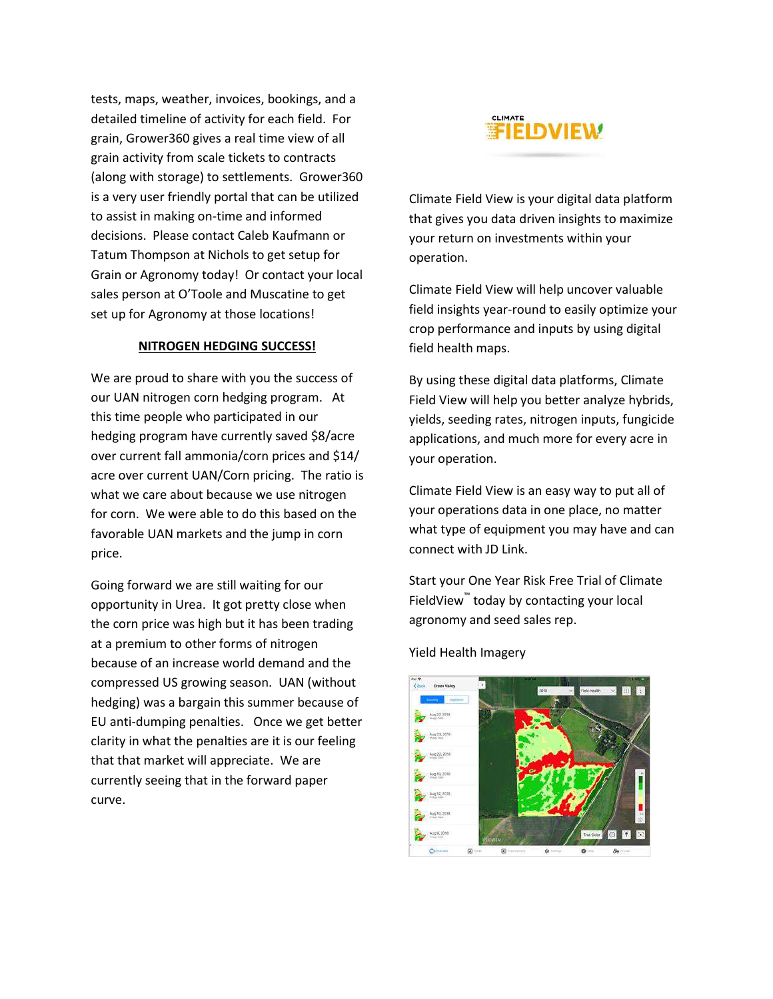tests, maps, weather, invoices, bookings, and a detailed timeline of activity for each field. For grain, Grower360 gives a real time view of all grain activity from scale tickets to contracts (along with storage) to settlements. Grower360 is a very user friendly portal that can be utilized to assist in making on-time and informed decisions. Please contact Caleb Kaufmann or Tatum Thompson at Nichols to get setup for Grain or Agronomy today! Or contact your local sales person at O'Toole and Muscatine to get set up for Agronomy at those locations!

#### **NITROGEN HEDGING SUCCESS!**

We are proud to share with you the success of our UAN nitrogen corn hedging program. At this time people who participated in our hedging program have currently saved \$8/acre over current fall ammonia/corn prices and \$14/ acre over current UAN/Corn pricing. The ratio is what we care about because we use nitrogen for corn. We were able to do this based on the favorable UAN markets and the jump in corn price.

Going forward we are still waiting for our opportunity in Urea. It got pretty close when the corn price was high but it has been trading at a premium to other forms of nitrogen because of an increase world demand and the compressed US growing season. UAN (without hedging) was a bargain this summer because of EU anti-dumping penalties. Once we get better clarity in what the penalties are it is our feeling that that market will appreciate. We are currently seeing that in the forward paper curve.



Climate Field View is your digital data platform that gives you data driven insights to maximize your return on investments within your operation.

Climate Field View will help uncover valuable field insights year-round to easily optimize your crop performance and inputs by using digital field health maps.

By using these digital data platforms, Climate Field View will help you better analyze hybrids, yields, seeding rates, nitrogen inputs, fungicide applications, and much more for every acre in your operation.

Climate Field View is an easy way to put all of your operations data in one place, no matter what type of equipment you may have and can connect with JD Link.

Start your One Year Risk Free Trial of Climate FieldView™ today by contacting your local agronomy and seed sales rep.



#### Yield Health Imagery